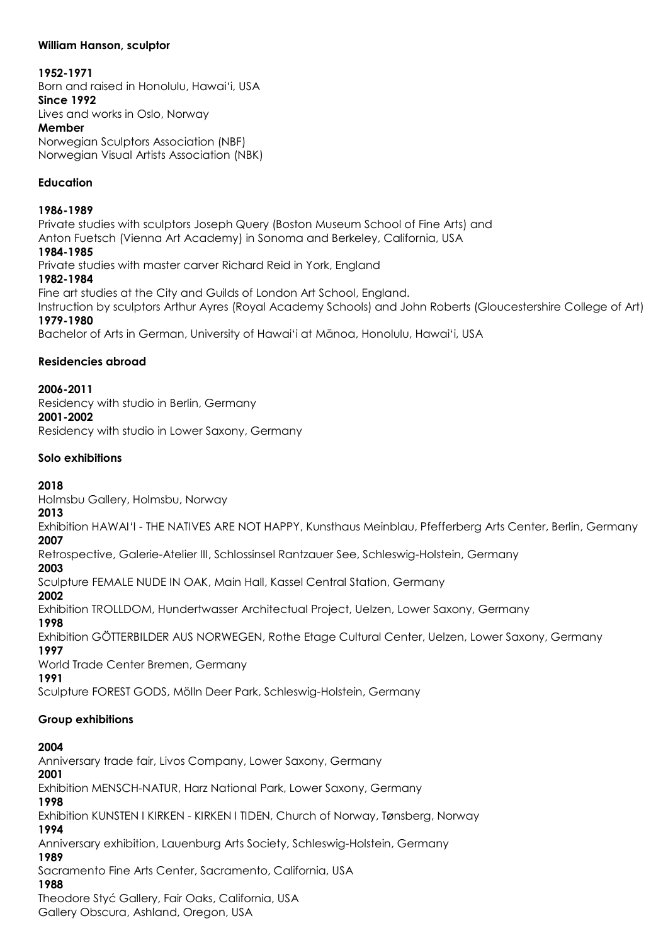## **William Hanson, sculptor**

## **1952-1971**

Born and raised in Honolulu, Hawai'i, USA **Since 1992** Lives and works in Oslo, Norway **Member** Norwegian Sculptors Association (NBF) Norwegian Visual Artists Association (NBK)

## **Education**

**1986-1989**  Private studies with sculptors Joseph Query (Boston Museum School of Fine Arts) and Anton Fuetsch (Vienna Art Academy) in Sonoma and Berkeley, California, USA **1984-1985**  Private studies with master carver Richard Reid in York, England **1982-1984**  Fine art studies at the City and Guilds of London Art School, England.

Instruction by sculptors Arthur Ayres (Royal Academy Schools) and John Roberts (Gloucestershire College of Art) **1979-1980**

Bachelor of Arts in German, University of Hawai'i at Mānoa, Honolulu, Hawai'i, USA

## **Residencies abroad**

**2006-2011** 

Residency with studio in Berlin, Germany **2001-2002** 

Residency with studio in Lower Saxony, Germany

## **Solo exhibitions**

## **2018**

Holmsbu Gallery, Holmsbu, Norway

## **2013**

Exhibition HAWAI'I - THE NATIVES ARE NOT HAPPY, Kunsthaus Meinblau, Pfefferberg Arts Center, Berlin, Germany **2007** 

Retrospective, Galerie-Atelier III, Schlossinsel Rantzauer See, Schleswig-Holstein, Germany

## **2003**

Sculpture FEMALE NUDE IN OAK, Main Hall, Kassel Central Station, Germany

**2002** 

Exhibition TROLLDOM, Hundertwasser Architectual Project, Uelzen, Lower Saxony, Germany

## **1998**

Exhibition GÖTTERBILDER AUS NORWEGEN, Rothe Etage Cultural Center, Uelzen, Lower Saxony, Germany

#### **1997**

World Trade Center Bremen, Germany

## **1991**

Sculpture FOREST GODS, Mölln Deer Park, Schleswig-Holstein, Germany

## **Group exhibitions**

## **2004**

Anniversary trade fair, Livos Company, Lower Saxony, Germany **2001** 

Exhibition MENSCH-NATUR, Harz National Park, Lower Saxony, Germany

## **1998**

Exhibition KUNSTEN I KIRKEN - KIRKEN I TIDEN, Church of Norway, Tønsberg, Norway

## **1994**

Anniversary exhibition, Lauenburg Arts Society, Schleswig-Holstein, Germany

**1989** 

Sacramento Fine Arts Center, Sacramento, California, USA

## **1988**

Theodore Styć Gallery, Fair Oaks, California, USA

Gallery Obscura, Ashland, Oregon, USA